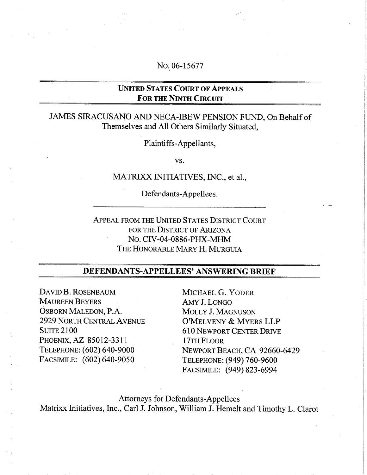## No. 06-15677

## UNITED STATES COURT OF APPEALS **FOR THE NINTH CIRCUIT**

## JAMES SIRACUSANO AND NECA-IBEW PENSION FUND, On Behalf of Themselves and All Others Similarly Situated,

Plaintiffs-Appellants,

vs.

#### MATRIXX INITIATIVES, INC., et aI.,

Defendants-Appellees.

APPEAL FROM THE UNITED STATES DISTRICT COURT FOR THE DISTRICT OF ARIZONA No. CIV-04-0886-PHX-MHM THE HONORABLE MARY H. MURGUIA

## DEFENDANTS-APPELLEES' ANSWERING BRIEF

DAVID B. ROSENBAUM MAUREEN BEYERS OSBORN MALEDON, P.A. 2929 NORTH CENTRAL AVENUE SUITE 2100 PHOENIX, AZ 85012-3311 TELEPHONE: (602) 640-9000 FACSIMILE: (602) 640-9050

MICHAEL G. YODER AMY J. LONGO MOLLY J. MAGNUSON O'MELVENY & MYERS LLP 610 NEWPORT CENTER DRIVE 17TH FLOOR NEWPORT BEACH, CA 92660-6429 TELEPHONE: (949) 760-9600 FACSIMILE: (949) 823-6994

Attorneys for Defendants-Appellees Matrixx Initiatives, Inc., Carl J. Johnson, William J. Hemelt and Timothy L. Clarot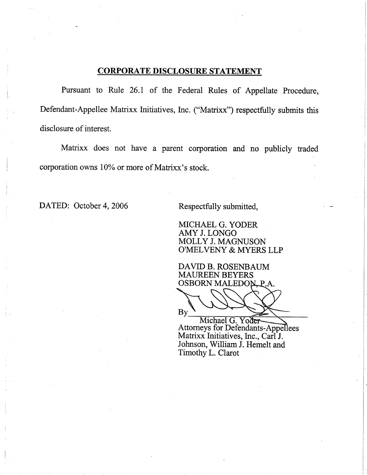## CORPORATE DISCLOSURE STATEMENT

Pursuant to Rule 26.1 of the Federal Rules of Appellate Procedure, Defendant-Appellee Matrixx Initiatives, Inc. ("Matrixx") respectfully submits this disclosure of interest.

Matrixx does not have a parent corporation and no publicly traded corporation owns 10% or more of Matrixx's stock.

DATED: October 4, 2006 Respectfully submitted,

MICHAEL G. YODER AMYJ.LONGO MOLLY J. MAGNUSON O'MEL VENY & MYERS LLP

DAVID B. ROSENBAUM MAUREEN BEYERS OSBORN MALEDON<sub>-P.A.</sub>

 $By$ 

Michael G. Yo Attorneys for Defendants-Appellees Matrixx Initiatives, Inc., Carl J. Johnson, William J. Hemelt and Timothy L. Clarot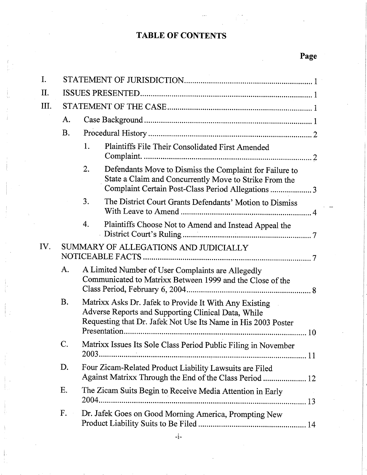# TABLE OF CONTENTS

Page

| I.  |                                       |                                                                                                                                                                                      |  |  |  |  |  |
|-----|---------------------------------------|--------------------------------------------------------------------------------------------------------------------------------------------------------------------------------------|--|--|--|--|--|
| Π.  |                                       |                                                                                                                                                                                      |  |  |  |  |  |
| Ш.  |                                       |                                                                                                                                                                                      |  |  |  |  |  |
|     | A.                                    |                                                                                                                                                                                      |  |  |  |  |  |
|     | <b>B.</b>                             |                                                                                                                                                                                      |  |  |  |  |  |
|     |                                       | 1.<br>Plaintiffs File Their Consolidated First Amended<br>Complaint.                                                                                                                 |  |  |  |  |  |
|     |                                       | 2.<br>Defendants Move to Dismiss the Complaint for Failure to<br>State a Claim and Concurrently Move to Strike From the<br>Complaint Certain Post-Class Period Allegations  3        |  |  |  |  |  |
|     |                                       | 3.<br>The District Court Grants Defendants' Motion to Dismiss                                                                                                                        |  |  |  |  |  |
|     |                                       | 4.<br>Plaintiffs Choose Not to Amend and Instead Appeal the                                                                                                                          |  |  |  |  |  |
| IV. | SUMMARY OF ALLEGATIONS AND JUDICIALLY |                                                                                                                                                                                      |  |  |  |  |  |
|     | A.                                    | A Limited Number of User Complaints are Allegedly<br>Communicated to Matrixx Between 1999 and the Close of the                                                                       |  |  |  |  |  |
|     | <b>B.</b>                             | Matrixx Asks Dr. Jafek to Provide It With Any Existing<br>Adverse Reports and Supporting Clinical Data, While<br>Requesting that Dr. Jafek Not Use Its Name in His 2003 Poster<br>10 |  |  |  |  |  |
|     | C.                                    | Matrixx Issues Its Sole Class Period Public Filing in November                                                                                                                       |  |  |  |  |  |
|     | D.                                    | Four Zicam-Related Product Liability Lawsuits are Filed<br>Against Matrixx Through the End of the Class Period  12                                                                   |  |  |  |  |  |
|     | Ε.                                    | The Zicam Suits Begin to Receive Media Attention in Early                                                                                                                            |  |  |  |  |  |
|     | $F_{\star}$                           | Dr. Jafek Goes on Good Morning America, Prompting New                                                                                                                                |  |  |  |  |  |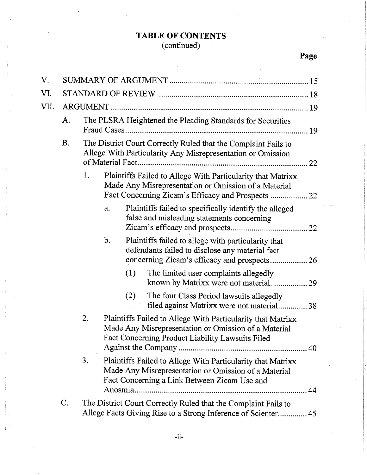## TABLE OF CONTENTS

### ( continued)

# Page

! I.

| V.   |           |                                                                                                                                                         |                                                            |     |                                                                                                                                                                           |  |
|------|-----------|---------------------------------------------------------------------------------------------------------------------------------------------------------|------------------------------------------------------------|-----|---------------------------------------------------------------------------------------------------------------------------------------------------------------------------|--|
| VI.  |           |                                                                                                                                                         |                                                            |     |                                                                                                                                                                           |  |
| VII. |           |                                                                                                                                                         |                                                            |     |                                                                                                                                                                           |  |
|      | A.        |                                                                                                                                                         | The PLSRA Heightened the Pleading Standards for Securities |     |                                                                                                                                                                           |  |
|      | <b>B.</b> | The District Court Correctly Ruled that the Complaint Fails to<br>Allege With Particularity Any Misrepresentation or Omission<br>of Material Fact<br>22 |                                                            |     |                                                                                                                                                                           |  |
|      |           | 1.                                                                                                                                                      |                                                            |     | Plaintiffs Failed to Allege With Particularity that Matrixx<br>Made Any Misrepresentation or Omission of a Material                                                       |  |
|      |           |                                                                                                                                                         | a.                                                         |     | Plaintiffs failed to specifically identify the alleged<br>false and misleading statements concerning                                                                      |  |
|      |           |                                                                                                                                                         | b.                                                         |     | Plaintiffs failed to allege with particularity that<br>defendants failed to disclose any material fact                                                                    |  |
|      |           |                                                                                                                                                         |                                                            | (1) | The limited user complaints allegedly<br>known by Matrixx were not material.  29                                                                                          |  |
|      |           |                                                                                                                                                         |                                                            | (2) | The four Class Period lawsuits allegedly<br>filed against Matrixx were not material 38                                                                                    |  |
|      |           | 2.                                                                                                                                                      |                                                            |     | Plaintiffs Failed to Allege With Particularity that Matrixx<br>Made Any Misrepresentation or Omission of a Material<br>Fact Concerning Product Liability Lawsuits Filed   |  |
|      |           | 3.                                                                                                                                                      | Anosmia                                                    |     | Plaintiffs Failed to Allege With Particularity that Matrixx<br>Made Any Misrepresentation or Omission of a Material<br>Fact Concerning a Link Between Zicam Use and<br>44 |  |
|      | C.        |                                                                                                                                                         |                                                            |     | The District Court Correctly Ruled that the Complaint Fails to<br>Allege Facts Giving Rise to a Strong Inference of Scienter 45                                           |  |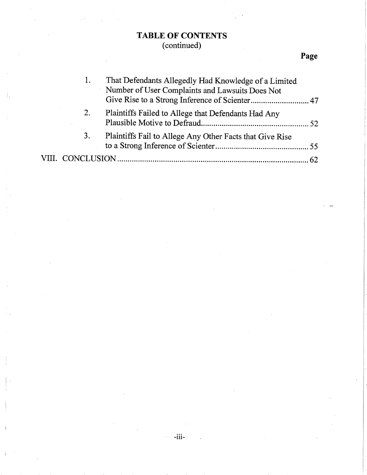## TABLE OF CONTENTS (continued)

ł.

# Page

|    | That Defendants Allegedly Had Knowledge of a Limited<br>Number of User Complaints and Lawsuits Does Not |  |
|----|---------------------------------------------------------------------------------------------------------|--|
|    |                                                                                                         |  |
| 2. | Plaintiffs Failed to Allege that Defendants Had Any                                                     |  |
| 3. | Plaintiffs Fail to Allege Any Other Facts that Give Rise                                                |  |
|    |                                                                                                         |  |

 $\mathcal{L}^{\pm}$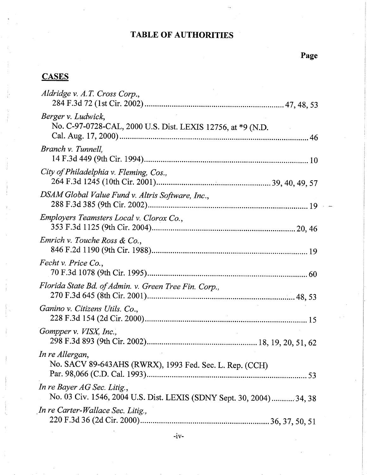# TABLE OF AUTHORITIES

# **CASES**

| Aldridge v. A.T. Cross Corp.,                                                                       |
|-----------------------------------------------------------------------------------------------------|
| Berger v. Ludwick,<br>No. C-97-0728-CAL, 2000 U.S. Dist. LEXIS 12756, at *9 (N.D.                   |
| Branch v. Tunnell.                                                                                  |
| City of Philadelphia v. Fleming, Cos.,                                                              |
| DSAM Global Value Fund v. Altris Software, Inc.,                                                    |
| Employers Teamsters Local v. Clorox Co.,                                                            |
| Emrich v. Touche Ross & Co.,                                                                        |
| Fecht v. Price Co.,                                                                                 |
| Florida State Bd. of Admin. v. Green Tree Fin. Corp.,                                               |
| Ganino v. Citizens Utils. Co.,                                                                      |
| Gompper v. VISX, Inc.,                                                                              |
| In re Allergan,<br>No. SACV 89-643AHS (RWRX), 1993 Fed. Sec. L. Rep. (CCH)                          |
| In re Bayer AG Sec. Litig.,<br>No. 03 Civ. 1546, 2004 U.S. Dist. LEXIS (SDNY Sept. 30, 2004) 34, 38 |
| In re Carter-Wallace Sec. Litig.,                                                                   |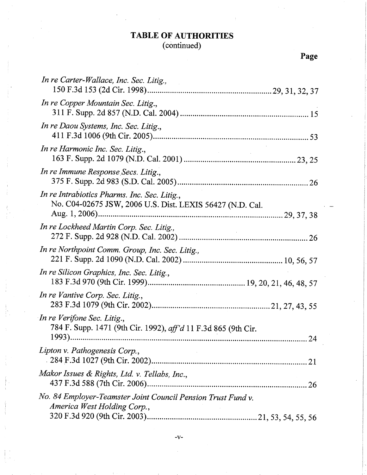# TABLE OF AUTHORITIES

#### ( continued)

| In re Carter-Wallace, Inc. Sec. Litig.,                                                                   |
|-----------------------------------------------------------------------------------------------------------|
| In re Copper Mountain Sec. Litig.,                                                                        |
| In re Daou Systems, Inc. Sec. Litig.,                                                                     |
| In re Harmonic Inc. Sec. Litig.,                                                                          |
| In re Immune Response Secs. Litig.,                                                                       |
| In re Intrabiotics Pharms. Inc. Sec. Litig.,<br>No. C04-02675 JSW, 2006 U.S. Dist. LEXIS 56427 (N.D. Cal. |
| In re Lockheed Martin Corp. Sec. Litig.,                                                                  |
| In re Northpoint Comm. Group, Inc. Sec. Litig.,                                                           |
| In re Silicon Graphics, Inc. Sec. Litig.,                                                                 |
| In re Vantive Corp. Sec. Litig.,                                                                          |
| In re Verifone Sec. Litig.,<br>784 F. Supp. 1471 (9th Cir. 1992), aff'd 11 F.3d 865 (9th Cir.<br>24       |
| Lipton v. Pathogenesis Corp.,                                                                             |
| Makor Issues & Rights, Ltd. v. Tellabs, Inc.,                                                             |
| No. 84 Employer-Teamster Joint Council Pension Trust Fund v.<br>America West Holding Corp.,               |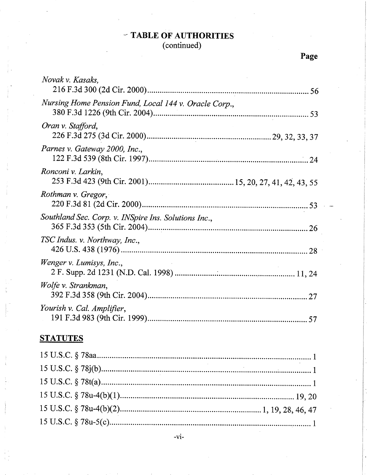## $-$  TABLE OF AUTHORITIES (continued)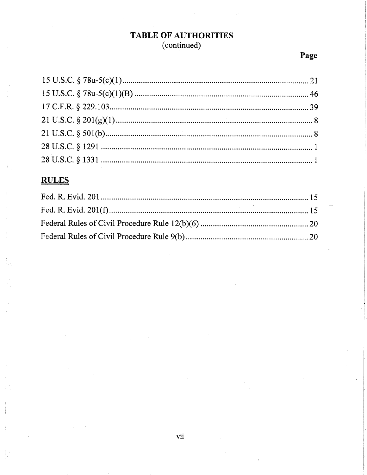## **TABLE OF AUTHORITIES** (continued)

# Page

## **RULES**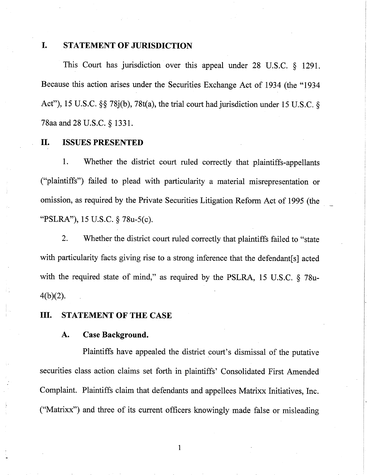## I. STATEMENT OF JURISDICTION

This Court has jurisdiction over this appeal under 28 U.S.C. § 1291. Because this action arises under the Securities Exchange Act of 1934 (the "1934 Act"), 15 U.S.C. §§ 78j(b), 78t(a), the trial court had jurisdiction under 15 U.S.C. § 78aa and 28 U.S.C. § 1331.

## II. ISSUES PRESENTED

1. Whether the district court ruled correctly that plaintiffs-appellants ("plaintiffs") failed to plead with particularity a material misrepresentation or omission, as required by the Private Securities Litigation Reform Act of 1995 (the, "PSLRA"), 15 U.S.C. § 78u-5(c).

2. Whether the district court ruled correctly that plaintiffs failed to "state with particularity facts giving rise to a strong inference that the defendant [s] acted with the required state of mind," as required by the PSLRA, 15 U.S.C.  $\delta$  78u-4(b)(2).

### III. STATEMENT OF THE CASE

#### A. Case Background.

Plaintiffs have appealed the district court's dismissal of the putative securities class action claims set forth in plaintiffs' Consolidated First Amended Complaint. Plaintiffs claim that defendants and appellees Matrixx Initiatives, Inc. ("Matrixx") and three of its current officers knowingly made false or misleading

i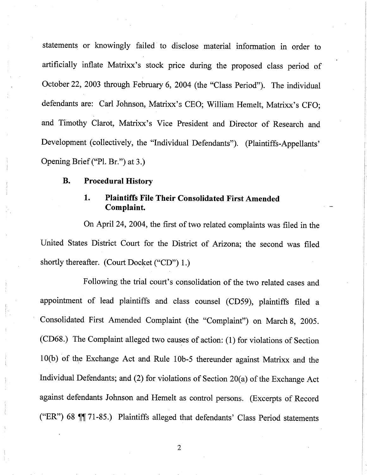statements or knowingly failed' to disclose material information in order to artificially inflate Matrixx's stock price during the proposed class period of October 22, 2003 through February 6, 2004 (the "Class Period"). The individual defendants are: Carl Johnson, Matrixx's CEO; William Hemelt, Matrixx's CFO; and Timothy Clarot, Matrixx's Vice President and Director of Research and Development (collectively, the "Individual Defendants"). (Plaintiffs-Appellants' Opening Brief ("PI. Br.") at 3.)

## B. Procedural History

## 1. Plaintiffs File Their Consolidated First Amended Complaint.

On April 24, 2004, the first of two related complaints was filed in the United States District Court for the District of Arizona; the second was filed shortly thereafter. (Court Docket ("CD") 1.)

Following the trial court's consolidation of the two related cases and appointment of lead plaintiffs and class counsel (CD59), plaintiffs filed a Consolidated First Amended Complaint (the "Complaint") on March 8, 2005. (CD68.) The Complaint alleged two causes of action: (1) for violations of Section 10(b) of the Exchange Act and Rule 10b-5 thereunder against Matrixx and the Individual Defendants; and (2) for violations of Section 20(a) of the Exchange Act against defendants Johnson and Hemelt as control persons. (Excerpts of Record ("ER") 68  $\P$  71-85.) Plaintiffs alleged that defendants' Class Period statements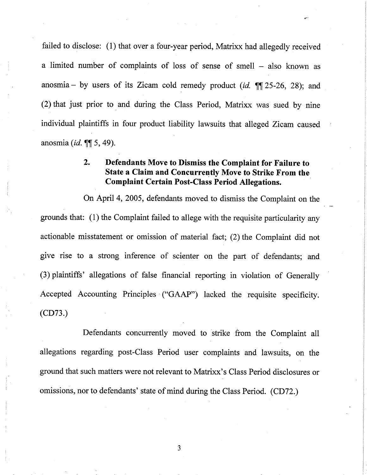failed to disclose: (l) that over a four-year period, Matrixx had allegedly received a limited number of complaints of loss of sense of smell – also known as anosmia - by users of its Zicam cold remedy product (id.  $\P$  $[$ 25-26, 28); and (2) that just prior to and during the Class Period, Matrixx was sued by nine individual plaintiffs in four product liability lawsuits that alleged Zicam caused anosmia (*id.*  $\P$ [ 5, 49).

## 2. Defendants Move to Dismiss the Complaint for Failure to State a Claim and Concurreatly Move to Strike From the Complaint Certain Post-Class Period Allegations.

On April 4, 2005, defendants moved to dismiss the Complaint on the grounds that: (1) the Complaint failed to allege with the requisite particularity any actionable misstatement or omission of material fact; (2) the Complaint did not give rise to a strong inference of scienter on the part of defendants; and (3) plaintiffs' allegations of false financial reporting in violation of Generally Accepted Accounting Principles' ("GAAP") lacked the requisite specificity. (CD73.)

Defendants concurrently moved to strike from the Complaint all allegations regarding post-Class Period user complaints and lawsuits, on the ground that such matters were not relevant to Matrixx's Class Period disclosures or omissions, nor to defendants' state of mind during the Class Period. (CD72.)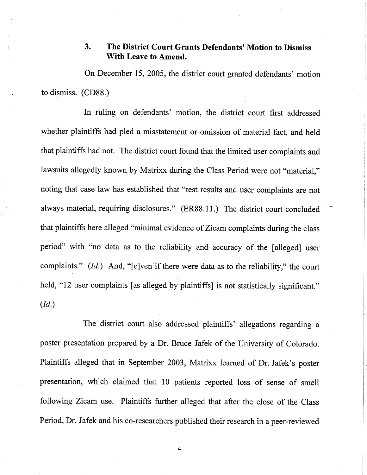## 3. The District Court Grants Defendants' Motion to Dismiss With Leave to Amend.

On December 15, 2005, the district court granted defendants' motion to dismiss. (CD88.)

In ruling on defendants' motion, the district court first addressed whether plaintiffs had pled a misstatement or omission of material fact, and held that plaintiffs had not. The district court found that the limited user complaints and lawsuits allegedly known by Matrixx during the Class Period were not "material," noting that case law has established that "test results and user complaints are not always material, requiring disclosures." (ER88:11.) The district court concluded' that plaintiffs here alleged "minimal evidence of Zicam complaints during the class period" with "no data as to the reliability and accuracy of the (alleged) user complaints."  $(Id.)$  And, "[e]ven if there were data as to the reliability," the court held, "12 user complaints (as alleged by plaintiffs) is not statistically significant." (Id.)

The district court also addressed plaintiffs' allegations regarding a poster presentation prepared by a Dr. Bruce Jafek of the University of Colorado. Plaintiffs alleged that in September 2003, Matrixx learned of Dr. Jafek's poster presentation, which claimed that 10 patients reported loss of sense of smell following Zicam use. Plaintiffs further alleged that after the close of the Class Period, Dr. Jafek and his co-researchers published their research in a peer-reviewed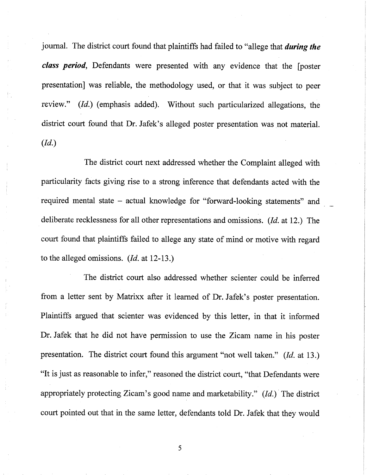journal. The district court found that plaintiffs had failed to "allege that during the class period, Defendants were presented with any evidence that the [poster presentation) was reliable, the methodology used, or that it was subject to peer review." (Id.) (emphasis added). Without such particularized allegations, the district court found that Dr. Jafek's alleged poster presentation was not materiaL. (Id.)

The district court next addressed whether the Complaint alleged with particularity facts giving rise to a strong inference that defendants acted with the required mental state – actual knowledge for "forward-looking statements" and deliberate recklessness for all other representations and omissions. (Id. at 12.) The court found that plaintiffs failed to allege any state of mind or motive with regard to the alleged omissions.  $(Id.$  at 12-13.)

The district court also addressed whether scienter could be inferred from a letter sent by Matrixx after it learned of Dr. Jafek's poster presentation. Plaintiffs argued that scienter was evidenced by this letter, in that it informed Dr. Jafek that he did not have permission to use the Zicam name in his poster presentation. The district court found this argument "not well taken." (Id. at 13.) "It is just as reasonable to infer," reasoned the district court, "that Defendants were appropriately protecting Zicam's good name and marketability."  $(Id.)$  The district court pointed out that in the same letter, defendants told Dr. Jafek that they would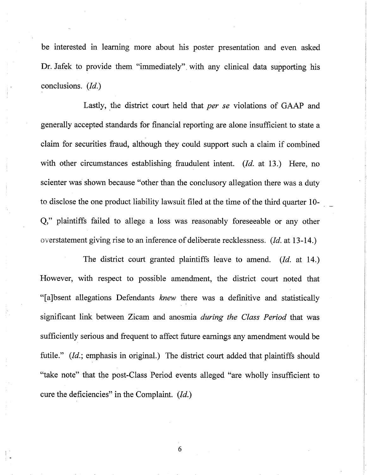be interested in learning more about his poster presentation and even asked Dr. Jafek to provide them "immediately". with any clinical data supporting his conclusions. (Id.)

Lastly, the district court held that per se violations of GAAP and generally accepted standards for financial reporting are alone insufficient to state a claim for securities fraud, although they could support such a claim if combined with other circumstances establishing fraudulent intent. (Id. at 13.) Here, no scienter was shown because "other than the conclusory allegation there was a duty to disclose the one product liability lawsuit filed at the time of the third quarter 10-Q," plaintiffs failed to allege a loss was reasonably foreseeable or any other overstatement giving rise to an inference of deliberate recklessness. (Id. at 13-14.)

The district court granted plaintiffs leave to amend. (Id. at 14.) However, with respect to possible amendment, the district court noted that "(a)bsent allegations Defendants knew there was a definitive and statistically significant link between Zicam and anosmia *during the Class Period* that was sufficiently serious and frequent to affect future earnings any amendment would be futile." (Id.; emphasis in original.) The district court added that plaintiffs should "take note" that the post-Class Period events alleged "are wholly insufficient to cure the deficiencies" in the Complaint. (Id.)

6

 $\vert$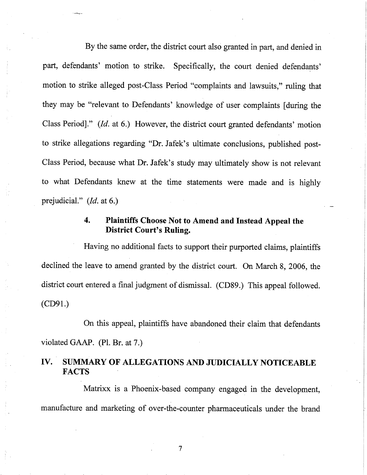By the same order, the district court also granted in part, and denied in part, defendants' motion to strike. Specifically, the court denied defendants' motion to strike alleged post-Class Period "complaints and lawsuits," ruling that they may be "relevant to Defendants' knowledge of user complaints (during the Class Period)." (Id. at 6.) However, the district court granted defendants' motion to strike allegations regarding "Dr. Jafek's ultimate conclusions, published post-Class Period, because what Dr. Jafek's study may ultimately show is not relevant to what Defendants knew at the time statements were made and is highly prejudicial." (*Id.* at 6.)

## 4. Plaintiffs Choose Not to Amend and Instead Appeal the District Court's Ruling.

Having no additional facts to support their purported claims, plaintiffs declined the leave to amend granted by the district court. On March 8, 2006, the district court entered a final judgment of dismissal. (CD89.) This appeal followed. (CD91.)

On this appeal, plaintiffs have abandoned their claim that defendants violated GAAP. (PI. Br. at 7.)

## IV. SUMMARY OF ALLEGATIONS AND JUDICIALLY NOTICEABLE **FACTS**

Matrixx is a Phoenix-based company engaged in the development, manufacture and marketing of over-the-counter pharmaceuticals under the brand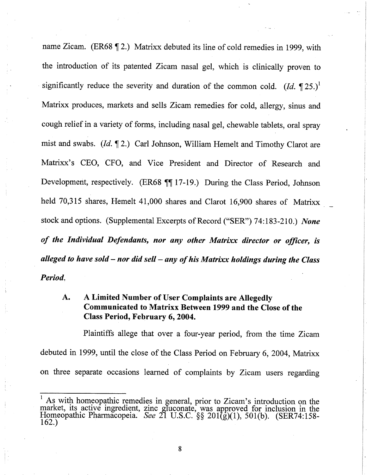name Zicam. (ER68  $\sqrt{2}$ .) Matrixx debuted its line of cold remedies in 1999, with the introduction of its patented Zicam nasal gel, which is clinically proven to significantly reduce the severity and duration of the common cold. (Id.  $\P$ 25.)<sup>1</sup> Matrixx produces, markets and sells Zicam remedies for cold, allergy, sinus and cough relief in a variety of forms, including nasal gel, chewable tablets, oral spray mist and swabs.  $(Id, \P 2)$  Carl Johnson, William Hemelt and Timothy Clarot are Matrixx's CEO, CFO, and Vice President and Director of Research and Development, respectively. (ER68 117-19.) During the Class Period, Johnson held 70,315 shares, Hemelt 41,000 shares and Clarot 16,900 shares of Matrixx stock and options. (Supplemental Excerpts of Record ("SER") 74:183-210.) None of the Individual Defendants, nor any other Matrixx director or officer, is alleged to have sold  $-$  nor did sell  $-$  any of his Matrixx holdings during the Class Period.

## A. A Limited Number of User Complaints are Allegedly Communicated to Matrixx Between 1999 and the Close of the Class Period, February 6, 2004.

Plaintiffs allege that over a four-year period, from the time Zicam debuted in 1999, until the close of the Class Period on February 6, 2004, Matrixx on three separate occasions learned of complaints by Zicam users regarding

 $\frac{1}{1}$  As with homeopathic remedies in general, prior to Zicam's introduction on the market, its active ingredient, zinc gIuconate, was approved for inclusion in the Homeopathic Pharmacopeia. See 21 U.S.C. §§ 201(g)(1), 501(b). (SER74:158-162.)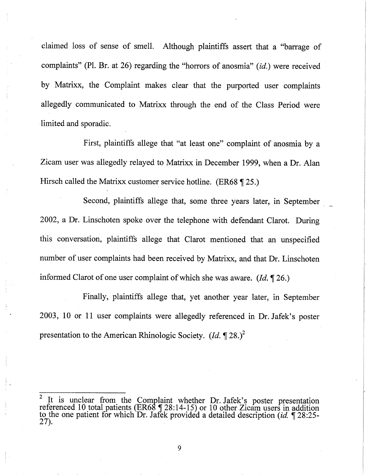claimed loss of sense of smelL Although plaintiffs assert that a "barrage of complaints" (PI. Br. at 26) regarding the "horrors of anosmia" (id.) were received by Matrixx, the Complaint makes clear that the purported user complaints allegedly communicated to Matrixx through the end of the Class Period were limited and sporadic.

First, plaintiffs allege that "at least one" complairit of anosmia by a Zicam user was allegedly relayed to Matrixx in December 1999, when a Dr. Alan Hirsch called the Matrixx customer service hotline. (ER68 ¶ 25.)

Second, plaintiffs allege that, some three years later, in September. 2002, a Dr. Linschoten spoke over the telephone with defendant Clarot. During this conversation, plaintiffs allege that Clarot mentioned that an unspecified number of user complaints had been received by Matrixx, and that Dr. Linschoten informed Clarot of one user complaint of which she was aware. (Id.  $\P$  26.)

Finally, plaintiffs allege that, yet another year later, in September 2003, 10 or 11 user complaints were allegedly referenced in Dr. Jafek's poster presentation to the American Rhinologic Society.  $(Id, \P 28.)^2$ 

<sup>&</sup>lt;sup>2</sup> It is unclear from the Complaint whether  $\sum_{n=1}^{\infty}$  Jafelt's poster presentation referenced 10 total patients (ER68  $\P$  28:14-15) or 10 other Zicam users in addition to the one patient for which Dr. Jafek provided a detailed description (*id.*  $\P$  28:25-27).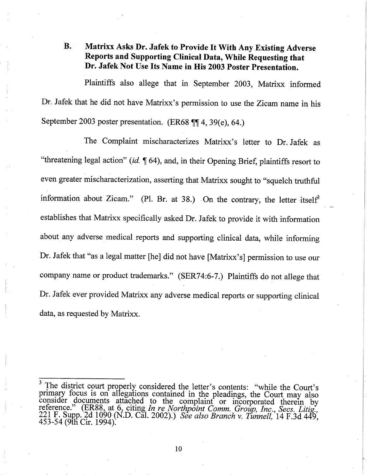## B. Matrixx Asks Dr. Jafek to Provide It With Any Existing Adverse Reports and Supporting Clinical Data, While Requesting that Dr. Jafek Not Use Its Name in His 2003 Poster Presentation.

Plaintiffs also allege that in September 2003, Matrixx informed Dr, Jafek that he did not have Matrixx's permission to use the Zicam name in his September 2003 poster presentation. (ER68  $\P$  $\parallel$  4, 39(e), 64.)

The Complaint mischaracterizes Matrixx's letter to Dr. Jafek as "threatening legal action" (id.  $\sqrt{\ }$  64), and, in their Opening Brief, plaintiffs resort to even greater mischaracterization, asserting that Matrixx sought to "squelch truthful information about Zicam." (Pl. Br. at 38.) On the contrary, the letter itself<sup>3</sup> establishes that Matrixx specifically asked Dr. Jafek to provide it with information about any adverse medical reports and supporting clinical data, while informing Dr. Jafek that "as a legal matter (he) did not have (Matrixx's) permission to use our company name or product trademarks." (SER74:6-7.) Plaintiffs do not allege that Dr. Jafek ever provided Matrixx any adverse medical reports or supporting clinical data, as requested by Matrixx.

 $\frac{3}{3}$  The district court properly considered the letter's contents: "while the Court's primary focus is on allegations contained in the pleadings, the Court may also consider documents attached to the complaint or incorporated therein by reference." (ER88, at 6, citing In re Northpoint Comm. Group, Inc., Secs. Litig., 221 F. Supp. 2d 1090 (N.D. Cal. 2002).) See also Branch v. Tunnell, 14 F.3d 449. 453-54 (9th Cir. 1994).